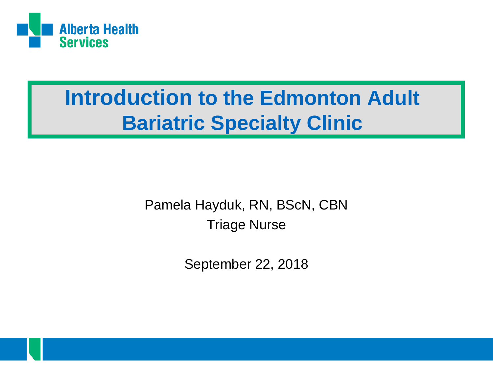

#### **Introduction to the Edmonton Adult Bariatric Specialty Clinic**

Pamela Hayduk, RN, BScN, CBN Triage Nurse

September 22, 2018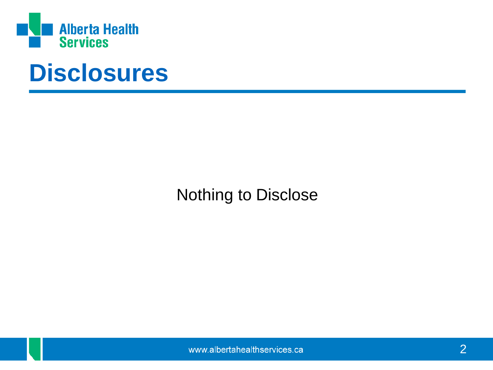

### **Disclosures**

Nothing to Disclose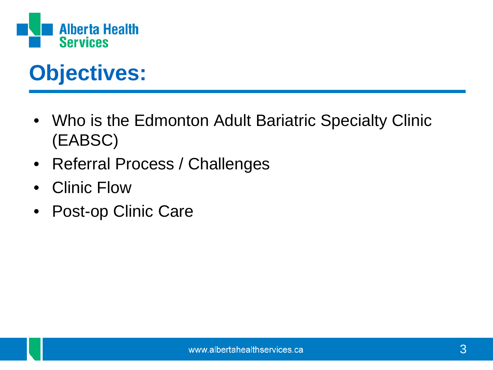

### **Objectives:**

- Who is the Edmonton Adult Bariatric Specialty Clinic (EABSC)
- Referral Process / Challenges
- Clinic Flow
- Post-op Clinic Care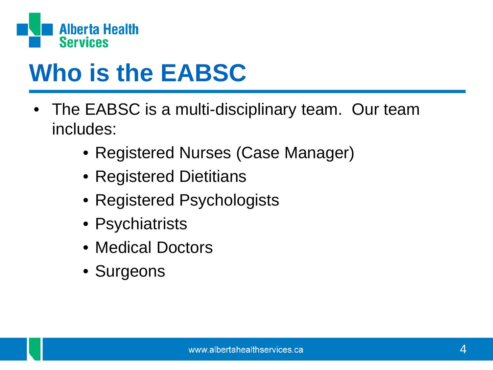

# **Who is the EABSC**

- The EABSC is a multi-disciplinary team. Our team includes:
	- Registered Nurses (Case Manager)
	- Registered Dietitians
	- Registered Psychologists
	- Psychiatrists
	- Medical Doctors
	- Surgeons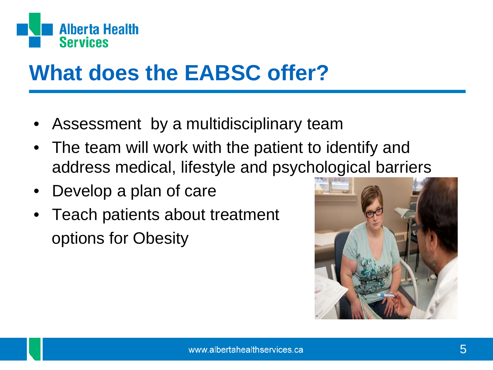

### **What does the EABSC offer?**

- Assessment by a multidisciplinary team
- The team will work with the patient to identify and address medical, lifestyle and psychological barriers
- Develop a plan of care
- Teach patients about treatment options for Obesity

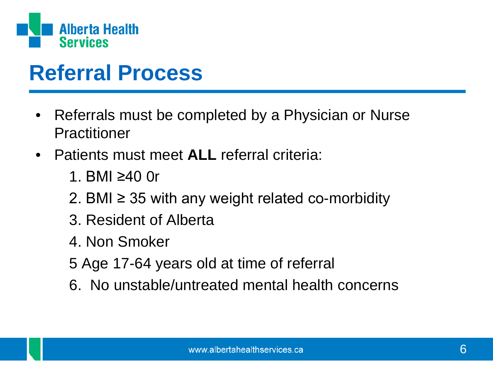

#### **Referral Process**

- Referrals must be completed by a Physician or Nurse Practitioner
- Patients must meet **ALL** referral criteria:
	- 1. BMI ≥40 0r
	- 2. BMI  $\geq$  35 with any weight related co-morbidity
	- 3. Resident of Alberta
	- 4. Non Smoker
	- 5 Age 17-64 years old at time of referral
	- 6. No unstable/untreated mental health concerns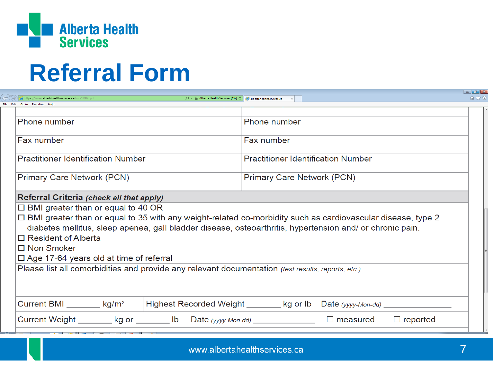

## **Referral Form**

| https://www.albertahealthservices.ca/frm-18205.pdf                                                            | $\mathcal{P}$ $\sim$ Alberta Health Services [CA] $\mathcal{C}$ albertahealthservices.ca |                                           |                    |                 | 价大钱 |
|---------------------------------------------------------------------------------------------------------------|------------------------------------------------------------------------------------------|-------------------------------------------|--------------------|-----------------|-----|
| File Edit Goto Favorites Heli                                                                                 |                                                                                          |                                           |                    |                 |     |
| Phone number                                                                                                  |                                                                                          | Phone number                              |                    |                 |     |
| Fax number                                                                                                    |                                                                                          | Fax number                                |                    |                 |     |
| <b>Practitioner Identification Number</b>                                                                     |                                                                                          | <b>Practitioner Identification Number</b> |                    |                 |     |
| Primary Care Network (PCN)                                                                                    |                                                                                          | Primary Care Network (PCN)                |                    |                 |     |
| Referral Criteria (check all that apply)                                                                      |                                                                                          |                                           |                    |                 |     |
| $\Box$ BMI greater than or equal to 40 OR                                                                     |                                                                                          |                                           |                    |                 |     |
| □ BMI greater than or equal to 35 with any weight-related co-morbidity such as cardiovascular disease, type 2 |                                                                                          |                                           |                    |                 |     |
| diabetes mellitus, sleep apenea, gall bladder disease, osteoarthritis, hypertension and/ or chronic pain.     |                                                                                          |                                           |                    |                 |     |
| $\Box$ Resident of Alberta                                                                                    |                                                                                          |                                           |                    |                 |     |
| □ Non Smoker                                                                                                  |                                                                                          |                                           |                    |                 |     |
| $\Box$ Age 17-64 years old at time of referral                                                                |                                                                                          |                                           |                    |                 |     |
| Please list all comorbidities and provide any relevant documentation (test results, reports, etc.)            |                                                                                          |                                           |                    |                 |     |
|                                                                                                               |                                                                                          |                                           |                    |                 |     |
|                                                                                                               |                                                                                          |                                           |                    |                 |     |
|                                                                                                               |                                                                                          |                                           |                    |                 |     |
| Current BMI $\frac{1}{2}$ kg/m <sup>2</sup>                                                                   | Highest Recorded Weight _______ kg or lb                                                 |                                           |                    |                 |     |
| Current Weight ________ kg or ________ lb Date (yyyy-Mon-dd) ___________________                              |                                                                                          |                                           | $\square$ measured | $\Box$ reported |     |
|                                                                                                               |                                                                                          |                                           |                    |                 |     |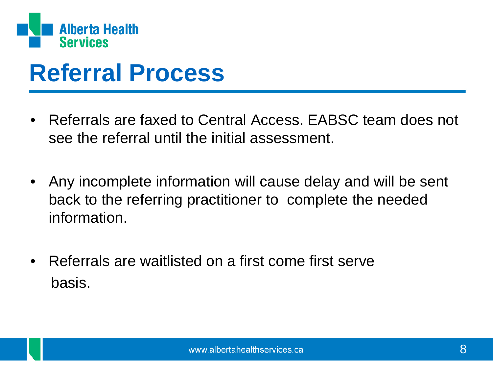

## **Referral Process**

- Referrals are faxed to Central Access. EABSC team does not see the referral until the initial assessment.
- Any incomplete information will cause delay and will be sent back to the referring practitioner to complete the needed information.
- Referrals are waitlisted on a first come first serve basis.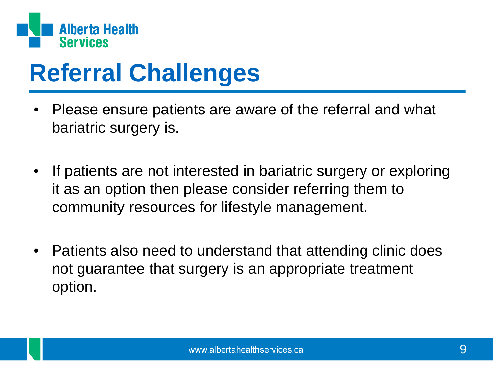

# **Referral Challenges**

- Please ensure patients are aware of the referral and what bariatric surgery is.
- If patients are not interested in bariatric surgery or exploring it as an option then please consider referring them to community resources for lifestyle management.
- Patients also need to understand that attending clinic does not guarantee that surgery is an appropriate treatment option.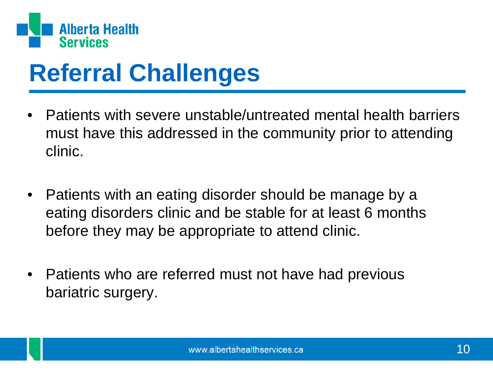

# **Referral Challenges**

- Patients with severe unstable/untreated mental health barriers must have this addressed in the community prior to attending clinic.
- Patients with an eating disorder should be manage by a eating disorders clinic and be stable for at least 6 months before they may be appropriate to attend clinic.
- Patients who are referred must not have had previous bariatric surgery.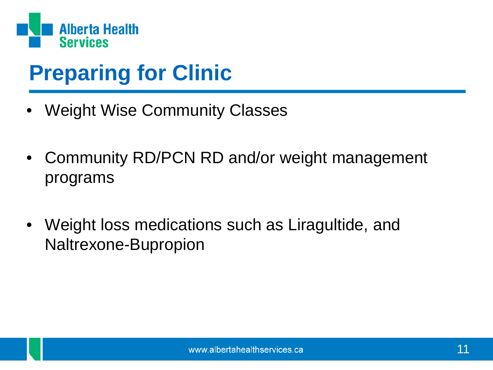

### **Preparing for Clinic**

- Weight Wise Community Classes
- Community RD/PCN RD and/or weight management programs
- Weight loss medications such as Liragultide, and Naltrexone-Bupropion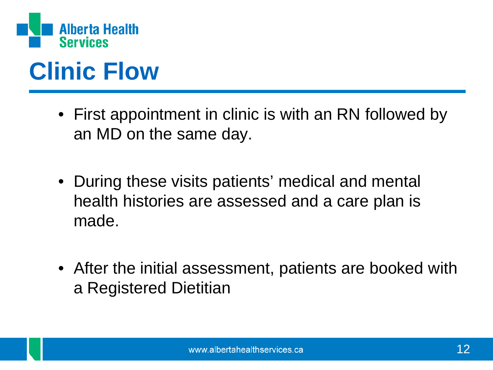

# **Clinic Flow**

- First appointment in clinic is with an RN followed by an MD on the same day.
- During these visits patients' medical and mental health histories are assessed and a care plan is made.
- After the initial assessment, patients are booked with a Registered Dietitian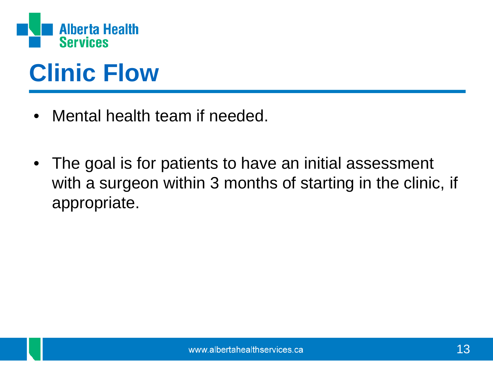

# **Clinic Flow**

- Mental health team if needed.
- The goal is for patients to have an initial assessment with a surgeon within 3 months of starting in the clinic, if appropriate.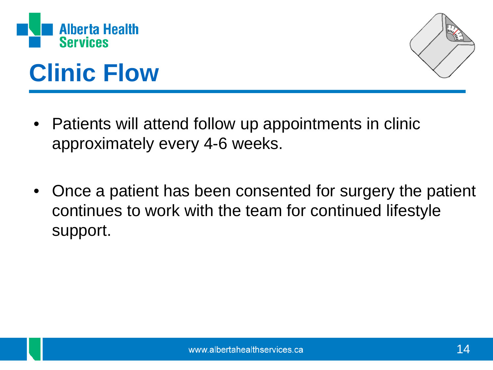



# **Clinic Flow**

- Patients will attend follow up appointments in clinic approximately every 4-6 weeks.
- Once a patient has been consented for surgery the patient continues to work with the team for continued lifestyle support.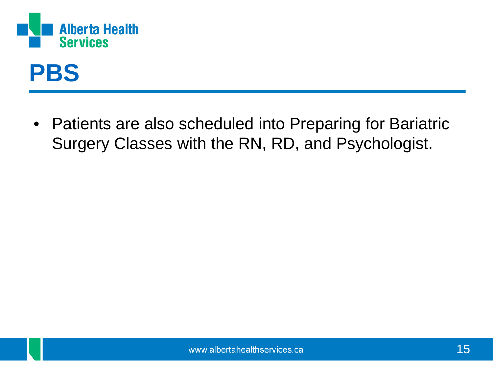

### **PBS**

• Patients are also scheduled into Preparing for Bariatric Surgery Classes with the RN, RD, and Psychologist.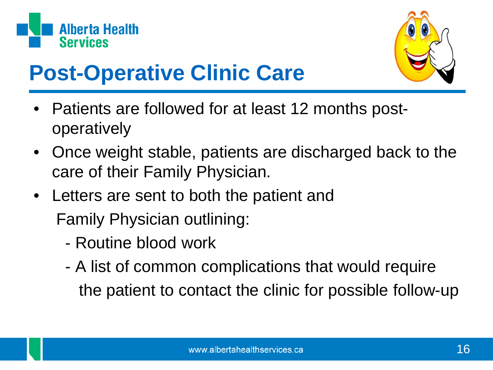



### **Post-Operative Clinic Care**

- Patients are followed for at least 12 months postoperatively
- Once weight stable, patients are discharged back to the care of their Family Physician.
- Letters are sent to both the patient and Family Physician outlining:
	- Routine blood work
	- A list of common complications that would require the patient to contact the clinic for possible follow-up